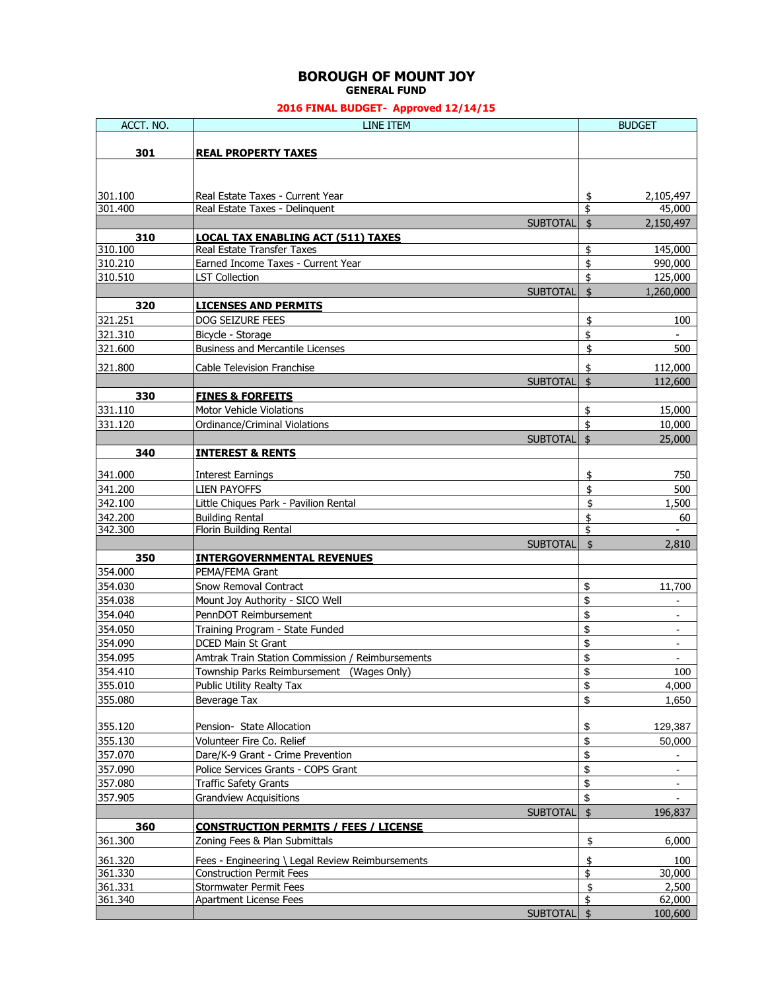### **BOROUGH OF MOUNT JOY GENERAL FUND**

| ACCT. NO. | LINE ITEM                                        |                 |                         | <b>BUDGET</b>  |
|-----------|--------------------------------------------------|-----------------|-------------------------|----------------|
|           |                                                  |                 |                         |                |
| 301       | <b>REAL PROPERTY TAXES</b>                       |                 |                         |                |
|           |                                                  |                 |                         |                |
|           |                                                  |                 |                         |                |
| 301.100   | Real Estate Taxes - Current Year                 |                 | \$                      | 2,105,497      |
| 301.400   | Real Estate Taxes - Delinquent                   |                 | \$                      | 45,000         |
|           |                                                  | <b>SUBTOTAL</b> | \$                      | 2,150,497      |
| 310       | <b>LOCAL TAX ENABLING ACT (511) TAXES</b>        |                 |                         |                |
| 310.100   | Real Estate Transfer Taxes                       |                 | \$                      | 145,000        |
| 310.210   | Earned Income Taxes - Current Year               |                 | \$                      | 990,000        |
| 310.510   | <b>LST Collection</b>                            |                 | \$                      | 125,000        |
|           |                                                  | <b>SUBTOTAL</b> | $\overline{\mathbf{S}}$ | 1,260,000      |
| 320       | <b>LICENSES AND PERMITS</b>                      |                 |                         |                |
| 321.251   | DOG SEIZURE FEES                                 |                 | \$                      | 100            |
| 321.310   | Bicycle - Storage                                |                 | \$                      |                |
| 321.600   | <b>Business and Mercantile Licenses</b>          |                 | \$                      | 500            |
| 321.800   | <b>Cable Television Franchise</b>                |                 | \$                      | 112,000        |
|           |                                                  | <b>SUBTOTAL</b> | $\dot{\mathsf{s}}$      | 112,600        |
| 330       | <b>FINES &amp; FORFEITS</b>                      |                 |                         |                |
| 331.110   | <b>Motor Vehicle Violations</b>                  |                 | \$                      | 15,000         |
| 331.120   | Ordinance/Criminal Violations                    |                 | \$                      | 10,000         |
|           |                                                  | <b>SUBTOTAL</b> | \$                      | 25,000         |
| 340       | <b>INTEREST &amp; RENTS</b>                      |                 |                         |                |
| 341.000   | <b>Interest Earnings</b>                         |                 | \$                      | 750            |
| 341.200   | <b>LIEN PAYOFFS</b>                              |                 | \$                      | 500            |
| 342.100   | Little Chiques Park - Pavilion Rental            |                 | \$                      | 1,500          |
| 342.200   | <b>Building Rental</b>                           |                 | \$                      | 60             |
| 342.300   | Florin Building Rental                           |                 | \$                      |                |
|           |                                                  | <b>SUBTOTAL</b> | \$                      | 2,810          |
| 350       | <b>INTERGOVERNMENTAL REVENUES</b>                |                 |                         |                |
| 354.000   | PEMA/FEMA Grant                                  |                 |                         |                |
| 354.030   | Snow Removal Contract                            |                 | \$                      | 11,700         |
| 354.038   | Mount Joy Authority - SICO Well                  |                 | \$                      |                |
| 354.040   | PennDOT Reimbursement                            |                 | \$                      |                |
| 354.050   | Training Program - State Funded                  |                 | \$                      | $\sim$         |
| 354.090   | DCED Main St Grant                               |                 | \$                      | $\blacksquare$ |
| 354.095   | Amtrak Train Station Commission / Reimbursements |                 | \$                      | $\sim$         |
| 354.410   | Township Parks Reimbursement (Wages Only)        |                 | \$                      | 100            |
| 355.010   | Public Utility Realty Tax                        |                 | \$                      | 4,000          |
| 355.080   | Beverage Tax                                     |                 | \$                      | 1,650          |
|           |                                                  |                 |                         |                |
| 355.120   | Pension- State Allocation                        |                 | \$                      | 129,387        |
| 355.130   | Volunteer Fire Co. Relief                        |                 | \$                      | 50,000         |
| 357.070   | Dare/K-9 Grant - Crime Prevention                |                 | \$                      | $\blacksquare$ |
| 357.090   | Police Services Grants - COPS Grant              |                 | \$                      | $\blacksquare$ |
| 357.080   | <b>Traffic Safety Grants</b>                     |                 | \$                      | $\blacksquare$ |
| 357.905   | <b>Grandview Acquisitions</b>                    |                 | \$                      |                |
|           |                                                  | <b>SUBTOTAL</b> | \$                      | 196,837        |
| 360       | <b>CONSTRUCTION PERMITS / FEES / LICENSE</b>     |                 |                         |                |
| 361.300   | Zoning Fees & Plan Submittals                    |                 | \$                      | 6,000          |
| 361.320   | Fees - Engineering \ Legal Review Reimbursements |                 | \$                      | 100            |
| 361.330   | <b>Construction Permit Fees</b>                  |                 | \$                      | 30,000         |
| 361.331   | <b>Stormwater Permit Fees</b>                    |                 | \$                      | 2,500          |
| 361.340   | Apartment License Fees                           |                 | \$                      | 62,000         |
|           |                                                  | <b>SUBTOTAL</b> | $\mathbf{\hat{S}}$      | 100,600        |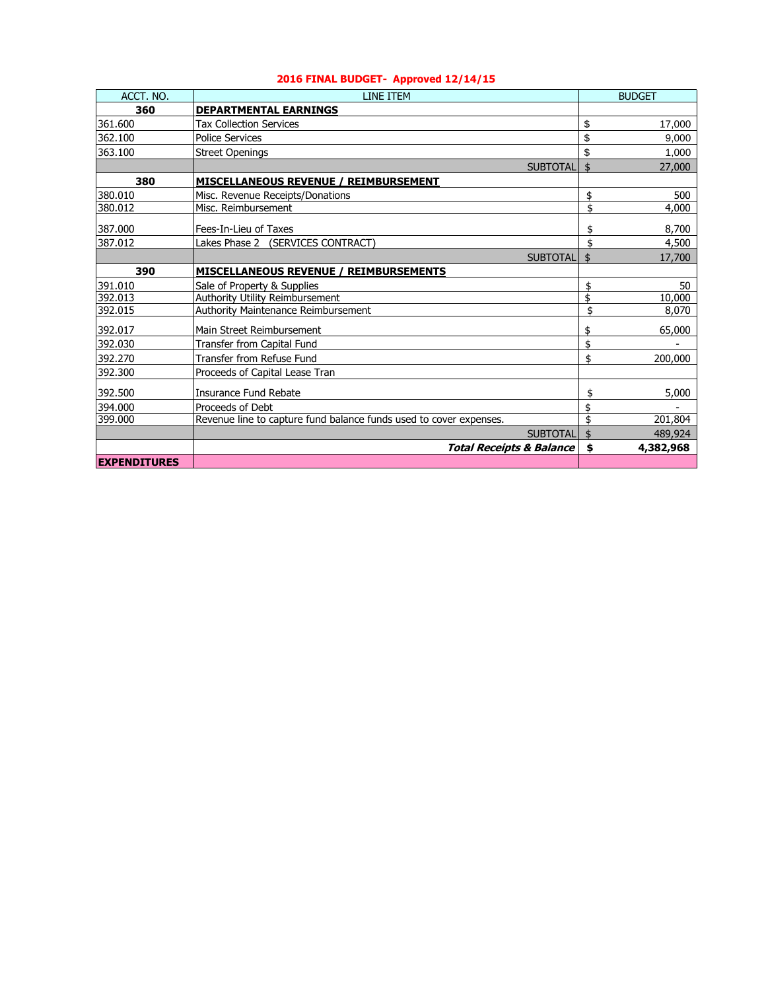| ACCT. NO.           | LINE ITEM                                                          |                 | <b>BUDGET</b>   |
|---------------------|--------------------------------------------------------------------|-----------------|-----------------|
| 360                 | <b>DEPARTMENTAL EARNINGS</b>                                       |                 |                 |
| 361.600             | <b>Tax Collection Services</b>                                     |                 | \$<br>17,000    |
| 362.100             | <b>Police Services</b>                                             |                 | \$<br>9,000     |
| 363.100             | <b>Street Openings</b>                                             |                 | \$<br>1,000     |
|                     |                                                                    | <b>SUBTOTAL</b> | \$<br>27,000    |
| 380                 | <b>MISCELLANEOUS REVENUE / REIMBURSEMENT</b>                       |                 |                 |
| 380.010             | Misc. Revenue Receipts/Donations                                   |                 | \$<br>500       |
| 380.012             | Misc. Reimbursement                                                |                 | \$<br>4,000     |
| 387.000             | Fees-In-Lieu of Taxes                                              |                 | \$<br>8,700     |
| 387.012             | Lakes Phase 2<br>(SERVICES CONTRACT)                               |                 | \$<br>4,500     |
|                     |                                                                    | <b>SUBTOTAL</b> | \$<br>17,700    |
| 390                 | <b>MISCELLANEOUS REVENUE / REIMBURSEMENTS</b>                      |                 |                 |
| 391.010             | Sale of Property & Supplies                                        |                 | \$<br>50        |
| 392.013             | Authority Utility Reimbursement                                    |                 | \$<br>10,000    |
| 392.015             | <b>Authority Maintenance Reimbursement</b>                         |                 | \$<br>8,070     |
| 392.017             | Main Street Reimbursement                                          |                 | \$<br>65,000    |
| 392.030             | Transfer from Capital Fund                                         |                 | \$              |
| 392.270             | Transfer from Refuse Fund                                          |                 | \$<br>200,000   |
| 392.300             | Proceeds of Capital Lease Tran                                     |                 |                 |
| 392.500             | Insurance Fund Rebate                                              |                 | \$<br>5,000     |
| 394.000             | Proceeds of Debt                                                   |                 |                 |
| 399.000             | Revenue line to capture fund balance funds used to cover expenses. |                 | \$<br>201,804   |
|                     |                                                                    | <b>SUBTOTAL</b> | \$<br>489,924   |
|                     | <b>Total Receipts &amp; Balance</b>                                |                 | \$<br>4,382,968 |
| <b>EXPENDITURES</b> |                                                                    |                 |                 |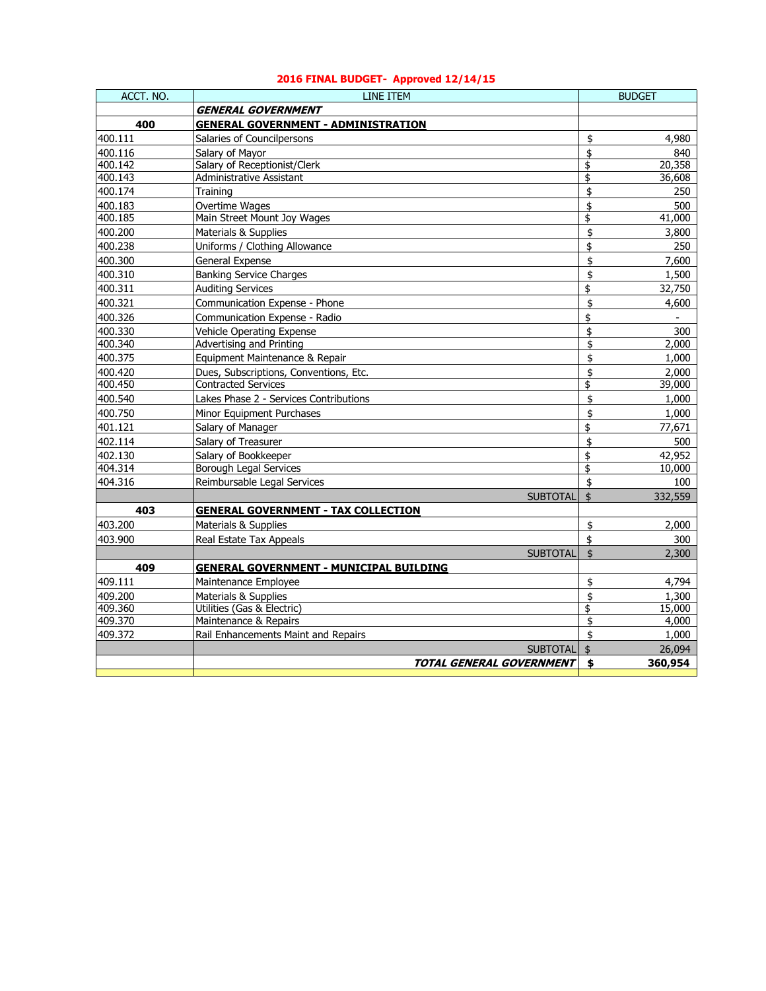| ACCT, NO. | <b>LINE ITEM</b>                               |                    | <b>BUDGET</b> |
|-----------|------------------------------------------------|--------------------|---------------|
|           | <b>GENERAL GOVERNMENT</b>                      |                    |               |
| 400       | <b>GENERAL GOVERNMENT - ADMINISTRATION</b>     |                    |               |
| 400.111   | Salaries of Councilpersons                     | \$                 | 4,980         |
| 400.116   | Salary of Mayor                                | \$                 | 840           |
| 400.142   | Salary of Receptionist/Clerk                   | \$                 | 20,358        |
| 400.143   | Administrative Assistant                       | \$                 | 36,608        |
| 400.174   | Training                                       | \$                 | 250           |
| 400.183   | Overtime Wages                                 | \$                 | 500           |
| 400.185   | Main Street Mount Joy Wages                    | \$                 | 41,000        |
| 400.200   | Materials & Supplies                           | \$                 | 3,800         |
| 400.238   | Uniforms / Clothing Allowance                  | \$                 | 250           |
| 400.300   | General Expense                                | \$                 | 7,600         |
| 400.310   | <b>Banking Service Charges</b>                 | \$                 | 1,500         |
| 400.311   | <b>Auditing Services</b>                       | \$                 | 32,750        |
| 400.321   | Communication Expense - Phone                  | \$                 | 4,600         |
| 400.326   | Communication Expense - Radio                  | \$                 |               |
| 400.330   | Vehicle Operating Expense                      | \$                 | 300           |
| 400.340   | <b>Advertising and Printing</b>                | \$                 | 2,000         |
| 400.375   | Equipment Maintenance & Repair                 | \$                 | 1,000         |
| 400.420   | Dues, Subscriptions, Conventions, Etc.         | \$                 | 2,000         |
| 400.450   | <b>Contracted Services</b>                     | \$                 | 39,000        |
| 400.540   | Lakes Phase 2 - Services Contributions         | \$                 | 1,000         |
| 400.750   | Minor Equipment Purchases                      | \$                 | 1,000         |
| 401.121   | Salary of Manager                              | \$                 | 77.671        |
| 402.114   | Salary of Treasurer                            | \$                 | 500           |
| 402.130   | Salary of Bookkeeper                           | \$                 | 42,952        |
| 404.314   | <b>Borough Legal Services</b>                  | \$                 | 10,000        |
| 404.316   | Reimbursable Legal Services                    | \$                 | 100           |
|           | <b>SUBTOTAL</b>                                | \$                 | 332,559       |
| 403       | <b>GENERAL GOVERNMENT - TAX COLLECTION</b>     |                    |               |
| 403.200   | Materials & Supplies                           | \$                 | 2,000         |
| 403.900   | Real Estate Tax Appeals                        | \$                 | 300           |
|           | <b>SUBTOTAL</b>                                | $\dot{\mathbf{z}}$ | 2,300         |
| 409       | <b>GENERAL GOVERNMENT - MUNICIPAL BUILDING</b> |                    |               |
| 409.111   | Maintenance Employee                           | \$                 | 4,794         |
| 409.200   | Materials & Supplies                           | \$                 | 1,300         |
| 409.360   | Utilities (Gas & Electric)                     | \$                 | 15,000        |
| 409.370   | Maintenance & Repairs                          | \$                 | 4,000         |
| 409.372   | Rail Enhancements Maint and Repairs            | \$                 | 1,000         |
|           | <b>SUBTOTAL</b>                                | \$                 | 26,094        |
|           | TOTAL GENERAL GOVERNMENT                       | \$                 | 360,954       |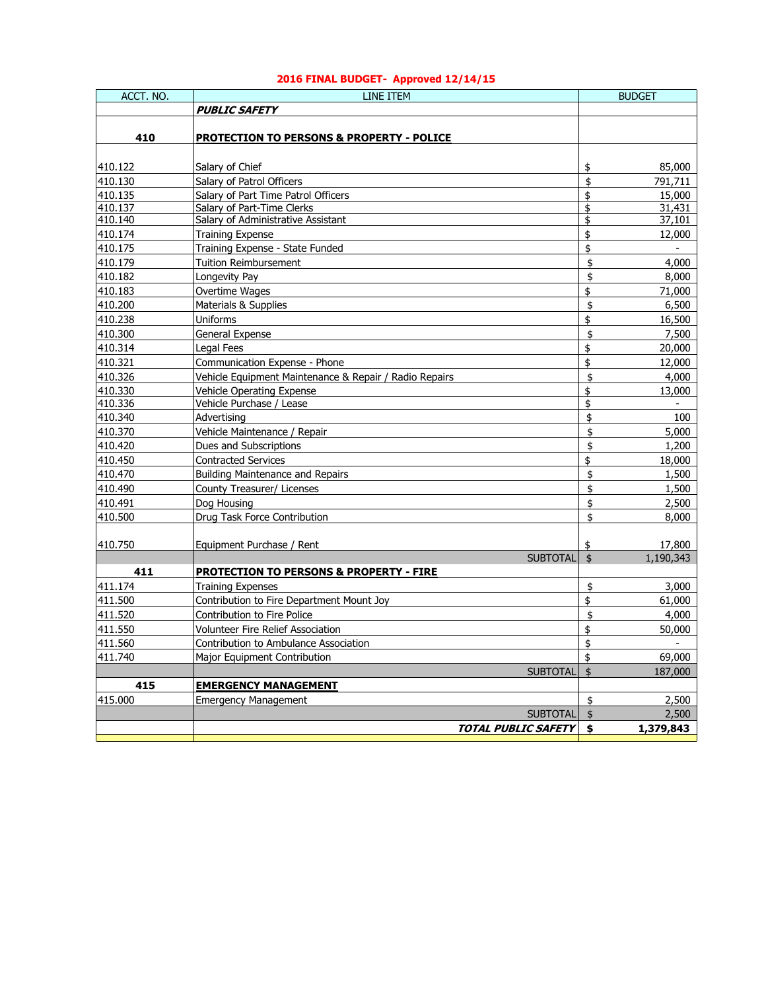| ACCT. NO. | LINE ITEM                                              |                    | <b>BUDGET</b> |
|-----------|--------------------------------------------------------|--------------------|---------------|
|           | <b>PUBLIC SAFETY</b>                                   |                    |               |
|           |                                                        |                    |               |
| 410       | <b>PROTECTION TO PERSONS &amp; PROPERTY - POLICE</b>   |                    |               |
|           |                                                        |                    |               |
| 410.122   | Salary of Chief                                        | \$                 | 85,000        |
| 410.130   | Salary of Patrol Officers                              | \$                 | 791,711       |
| 410.135   | Salary of Part Time Patrol Officers                    | \$                 | 15,000        |
| 410.137   | Salary of Part-Time Clerks                             | \$                 | 31,431        |
| 410.140   | Salary of Administrative Assistant                     | \$                 | 37,101        |
| 410.174   | <b>Training Expense</b>                                | \$                 | 12,000        |
| 410.175   | Training Expense - State Funded                        | \$                 | $\sim$        |
| 410.179   | <b>Tuition Reimbursement</b>                           | \$                 | 4,000         |
| 410.182   | Longevity Pay                                          | \$                 | 8,000         |
| 410.183   | Overtime Wages                                         | \$                 | 71,000        |
| 410.200   | Materials & Supplies                                   | \$                 | 6,500         |
| 410.238   | <b>Uniforms</b>                                        | \$                 | 16,500        |
| 410.300   | General Expense                                        | \$                 | 7,500         |
| 410.314   | Legal Fees                                             | \$                 | 20,000        |
| 410.321   | Communication Expense - Phone                          | \$                 | 12,000        |
| 410.326   | Vehicle Equipment Maintenance & Repair / Radio Repairs | \$                 | 4,000         |
| 410.330   | Vehicle Operating Expense                              | \$                 | 13,000        |
| 410.336   | Vehicle Purchase / Lease                               | \$                 | $\sim$        |
| 410.340   | Advertising                                            | \$                 | 100           |
| 410.370   | Vehicle Maintenance / Repair                           | \$                 | 5,000         |
| 410.420   | Dues and Subscriptions                                 | \$                 | 1,200         |
| 410.450   | <b>Contracted Services</b>                             | \$                 | 18,000        |
| 410.470   | Building Maintenance and Repairs                       | \$                 | 1,500         |
| 410.490   | County Treasurer/ Licenses                             | \$                 | 1,500         |
| 410.491   | Dog Housing                                            | \$                 | 2,500         |
|           | Drug Task Force Contribution                           | \$                 |               |
| 410.500   |                                                        |                    | 8,000         |
| 410.750   | Equipment Purchase / Rent                              | \$                 | 17,800        |
|           | <b>SUBTOTAL</b>                                        | $\dot{\mathbb{Z}}$ | 1,190,343     |
| 411       | <b>PROTECTION TO PERSONS &amp; PROPERTY - FIRE</b>     |                    |               |
| 411.174   | <b>Training Expenses</b>                               | \$                 | 3,000         |
| 411.500   | Contribution to Fire Department Mount Joy              | \$                 | 61,000        |
| 411.520   | Contribution to Fire Police                            | \$                 | 4,000         |
| 411.550   | Volunteer Fire Relief Association                      | \$                 | 50,000        |
| 411.560   | Contribution to Ambulance Association                  | \$                 |               |
| 411.740   | Major Equipment Contribution                           | \$                 | 69,000        |
|           | <b>SUBTOTAL</b>                                        | $\ddot{\bm{S}}$    | 187,000       |
| 415       | <b>EMERGENCY MANAGEMENT</b>                            |                    |               |
| 415.000   | <b>Emergency Management</b>                            | \$                 | 2,500         |
|           | <b>SUBTOTAL</b>                                        | \$                 | 2,500         |
|           | <b>TOTAL PUBLIC SAFETY</b>                             | \$                 | 1,379,843     |
|           |                                                        |                    |               |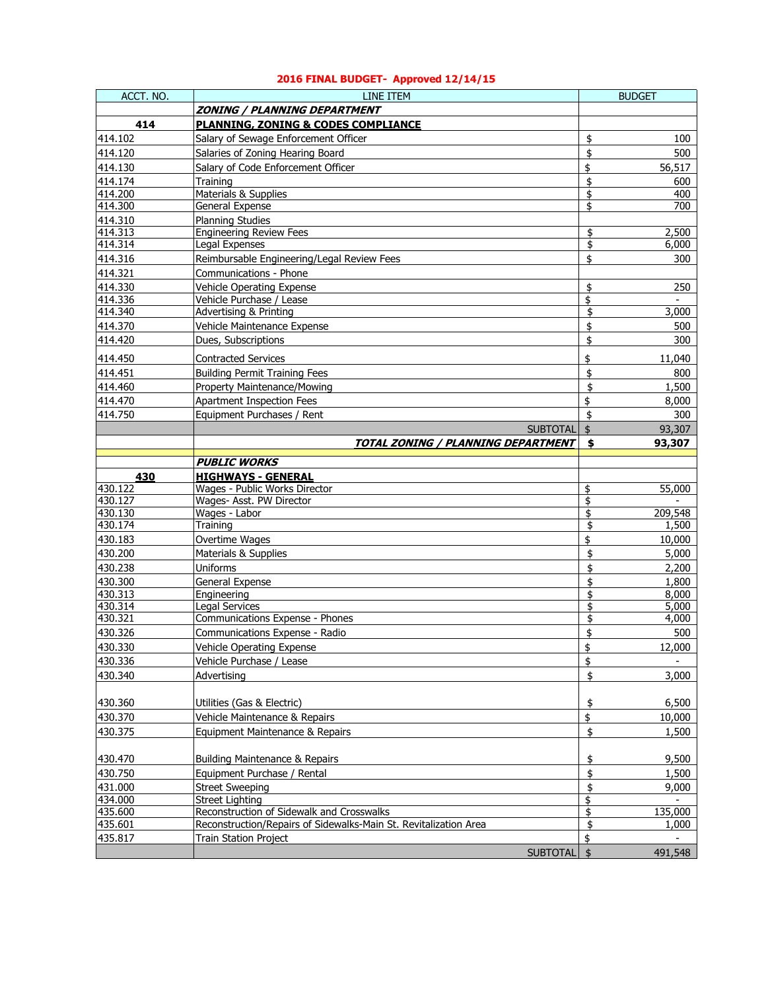| ACCT. NO.      | LINE ITEM                                                        | <b>BUDGET</b>        |
|----------------|------------------------------------------------------------------|----------------------|
|                | ZONING / PLANNING DEPARTMENT                                     |                      |
| 414            | <b>PLANNING, ZONING &amp; CODES COMPLIANCE</b>                   |                      |
| 414.102        | Salary of Sewage Enforcement Officer                             | \$<br>100            |
| 414.120        | Salaries of Zoning Hearing Board                                 | 500<br>\$            |
| 414.130        | Salary of Code Enforcement Officer                               | \$<br>56,517         |
| 414.174        | Training                                                         | \$<br>600            |
| 414.200        | Materials & Supplies                                             | \$<br>400            |
| 414.300        | General Expense                                                  | \$<br>700            |
| 414.310        | <b>Planning Studies</b>                                          |                      |
| 414.313        | <b>Engineering Review Fees</b>                                   | \$<br>2,500          |
| 414.314        | Legal Expenses                                                   | \$<br>6,000          |
| 414.316        | Reimbursable Engineering/Legal Review Fees                       | \$<br>300            |
| 414.321        | Communications - Phone                                           |                      |
| 414.330        | Vehicle Operating Expense                                        | \$<br>250            |
| 414.336        | Vehicle Purchase / Lease                                         | \$                   |
| 414.340        | <b>Advertising &amp; Printing</b>                                | \$<br>3,000          |
| 414.370        | Vehicle Maintenance Expense                                      | \$<br>500            |
| 414.420        | Dues, Subscriptions                                              | 300<br>\$            |
| 414.450        | <b>Contracted Services</b>                                       | \$<br>11,040         |
| 414.451        | <b>Building Permit Training Fees</b>                             | \$<br>800            |
| 414.460        | Property Maintenance/Mowing                                      | \$<br>1,500          |
| 414.470        | Apartment Inspection Fees                                        | \$<br>8,000          |
| 414.750        | Equipment Purchases / Rent                                       | 300<br>\$            |
|                | <b>SUBTOTAL</b>                                                  | \$<br>93,307         |
|                | TOTAL ZONING / PLANNING DEPARTMENT                               | 93,307<br>\$         |
|                |                                                                  |                      |
|                | <b>PUBLIC WORKS</b>                                              |                      |
| 430<br>430.122 | <b>HIGHWAYS - GENERAL</b>                                        |                      |
| 430.127        | Wages - Public Works Director<br>Wages- Asst. PW Director        | \$<br>55,000<br>\$   |
| 430.130        | Wages - Labor                                                    | 209,548<br>\$        |
| 430.174        | Training                                                         | \$<br>1,500          |
| 430.183        | Overtime Wages                                                   | \$<br>10,000         |
| 430.200        | Materials & Supplies                                             | \$<br>5,000          |
| 430.238        | <b>Uniforms</b>                                                  | \$<br>2,200          |
| 430.300        | General Expense                                                  | \$<br>1,800          |
| 430.313        | Engineering                                                      | \$<br>8,000          |
| 430.314        | <b>Legal Services</b>                                            | \$<br>5,000          |
| 430.321        | Communications Expense - Phones                                  | \$<br>4,000          |
| 430.326        | Communications Expense - Radio                                   | 500<br>\$            |
| 430.330        | Vehicle Operating Expense                                        | \$<br>12,000         |
| 430.336        | Vehicle Purchase / Lease                                         | \$<br>$\blacksquare$ |
| 430.340        | Advertising                                                      | \$<br>3,000          |
|                |                                                                  |                      |
| 430.360        | Utilities (Gas & Electric)                                       | \$<br>6,500          |
| 430.370        | Vehicle Maintenance & Repairs                                    | \$<br>10,000         |
| 430.375        | Equipment Maintenance & Repairs                                  | \$<br>1,500          |
|                |                                                                  |                      |
| 430.470        | <b>Building Maintenance &amp; Repairs</b>                        | 9,500<br>\$          |
| 430.750        | Equipment Purchase / Rental                                      | \$<br>1,500          |
| 431.000        | <b>Street Sweeping</b>                                           | \$<br>9,000          |
| 434.000        | Street Lighting                                                  | \$                   |
| 435.600        | Reconstruction of Sidewalk and Crosswalks                        | \$<br>135,000        |
| 435.601        | Reconstruction/Repairs of Sidewalks-Main St. Revitalization Area | \$<br>1,000          |
| 435.817        | <b>Train Station Project</b>                                     | \$                   |
|                | <b>SUBTOTAL</b>                                                  | \$<br>491,548        |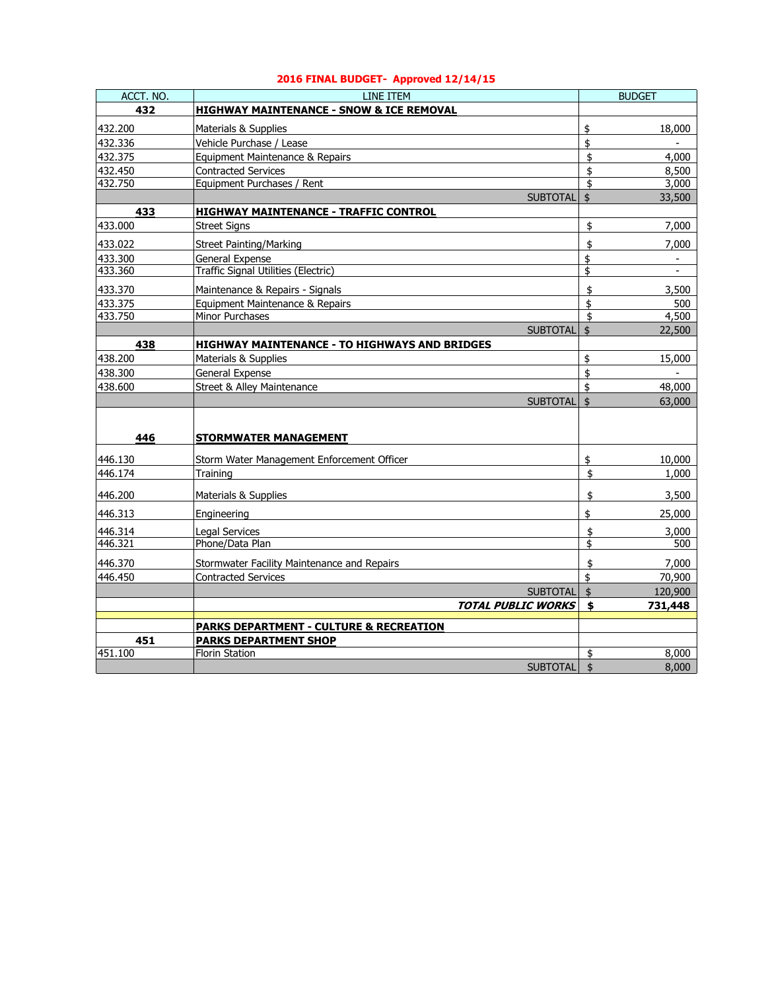| ACCT. NO. | LINE ITEM                                            |                    | <b>BUDGET</b>  |
|-----------|------------------------------------------------------|--------------------|----------------|
| 432       | <b>HIGHWAY MAINTENANCE - SNOW &amp; ICE REMOVAL</b>  |                    |                |
| 432.200   | Materials & Supplies                                 | \$                 | 18,000         |
| 432.336   | Vehicle Purchase / Lease                             | \$                 |                |
| 432.375   | Equipment Maintenance & Repairs                      | \$                 | 4,000          |
| 432.450   | <b>Contracted Services</b>                           | \$                 | 8,500          |
| 432.750   | Equipment Purchases / Rent                           | \$                 | 3,000          |
|           | <b>SUBTOTAL</b>                                      | \$                 | 33,500         |
| 433       | <b>HIGHWAY MAINTENANCE - TRAFFIC CONTROL</b>         |                    |                |
| 433.000   | <b>Street Signs</b>                                  | \$                 | 7,000          |
| 433.022   | <b>Street Painting/Marking</b>                       | \$                 | 7,000          |
| 433.300   | General Expense                                      | \$                 | $\blacksquare$ |
| 433.360   | Traffic Signal Utilities (Electric)                  | \$                 | $\overline{a}$ |
| 433.370   | Maintenance & Repairs - Signals                      | \$                 | 3,500          |
| 433.375   | Equipment Maintenance & Repairs                      | \$                 | 500            |
| 433.750   | Minor Purchases                                      | \$                 | 4,500          |
|           | <b>SUBTOTAL</b>                                      | \$                 | 22,500         |
| 438       | <b>HIGHWAY MAINTENANCE - TO HIGHWAYS AND BRIDGES</b> |                    |                |
| 438.200   | Materials & Supplies                                 | \$                 | 15,000         |
| 438.300   | General Expense                                      | \$                 |                |
| 438.600   | Street & Alley Maintenance                           | \$                 | 48,000         |
|           | <b>SUBTOTAL</b>                                      | $\dot{\mathbb{Z}}$ | 63,000         |
|           |                                                      |                    |                |
| 446       | STORMWATER MANAGEMENT                                |                    |                |
| 446.130   | Storm Water Management Enforcement Officer           | \$                 | 10,000         |
| 446.174   | Training                                             | \$                 | 1,000          |
|           |                                                      |                    |                |
| 446.200   | Materials & Supplies                                 | \$                 | 3,500          |
| 446.313   | Engineering                                          | \$                 | 25,000         |
| 446.314   | <b>Legal Services</b>                                | \$                 | 3,000          |
| 446.321   | Phone/Data Plan                                      | \$                 | 500            |
| 446.370   | Stormwater Facility Maintenance and Repairs          | \$                 | 7,000          |
| 446.450   | <b>Contracted Services</b>                           | \$                 | 70,900         |
|           | <b>SUBTOTAL</b>                                      | \$                 | 120,900        |
|           | <b>TOTAL PUBLIC WORKS</b>                            | \$                 | 731,448        |
|           | <b>PARKS DEPARTMENT - CULTURE &amp; RECREATION</b>   |                    |                |
| 451       | <b>PARKS DEPARTMENT SHOP</b>                         |                    |                |
| 451.100   | <b>Florin Station</b>                                | \$                 | 8,000          |
|           | <b>SUBTOTAL</b>                                      | \$                 | 8,000          |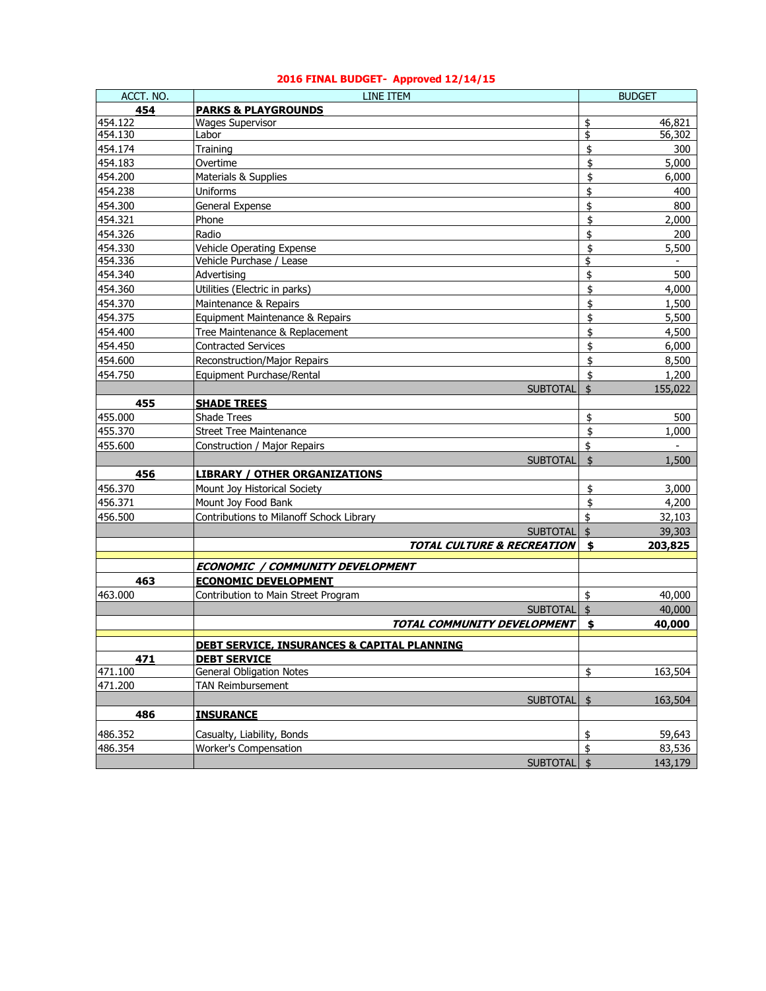| ACCT. NO. | LINE ITEM                                              |                    | <b>BUDGET</b> |
|-----------|--------------------------------------------------------|--------------------|---------------|
| 454       | <b>PARKS &amp; PLAYGROUNDS</b>                         |                    |               |
| 454.122   | <b>Wages Supervisor</b>                                | \$                 | 46,821        |
| 454.130   | Labor                                                  | \$                 | 56,302        |
| 454.174   | Training                                               | \$                 | 300           |
| 454.183   | Overtime                                               | \$                 | 5,000         |
| 454.200   | Materials & Supplies                                   | \$                 | 6,000         |
| 454.238   | Uniforms                                               | \$                 | 400           |
| 454.300   | General Expense                                        | \$                 | 800           |
| 454.321   | Phone                                                  | \$                 | 2,000         |
| 454.326   | Radio                                                  | \$                 | 200           |
| 454.330   | Vehicle Operating Expense                              | \$                 | 5,500         |
| 454.336   | Vehicle Purchase / Lease                               | \$                 | $\sim$        |
| 454.340   | Advertising                                            | \$                 | 500           |
| 454.360   | Utilities (Electric in parks)                          | \$                 | 4,000         |
| 454.370   | Maintenance & Repairs                                  | \$                 | 1,500         |
| 454.375   | Equipment Maintenance & Repairs                        | \$                 | 5,500         |
| 454.400   | Tree Maintenance & Replacement                         | \$                 | 4,500         |
| 454.450   | <b>Contracted Services</b>                             | \$                 | 6,000         |
| 454.600   | Reconstruction/Major Repairs                           | \$                 | 8,500         |
| 454.750   | Equipment Purchase/Rental                              | \$                 | 1,200         |
|           | <b>SUBTOTAL</b>                                        | $\dot{\mathsf{s}}$ | 155,022       |
| 455       | <b>SHADE TREES</b>                                     |                    |               |
| 455.000   | Shade Trees                                            | \$                 | 500           |
| 455.370   | <b>Street Tree Maintenance</b>                         | \$                 | 1,000         |
| 455.600   | Construction / Major Repairs                           | \$                 |               |
|           | <b>SUBTOTAL</b>                                        | \$                 | 1,500         |
| 456       | <b>LIBRARY / OTHER ORGANIZATIONS</b>                   |                    |               |
| 456.370   | Mount Joy Historical Society                           | \$                 | 3,000         |
| 456.371   | Mount Joy Food Bank                                    | \$                 | 4,200         |
| 456.500   | Contributions to Milanoff Schock Library               | \$                 | 32,103        |
|           | <b>SUBTOTAL</b>                                        | $\frac{1}{2}$      | 39,303        |
|           | <b>TOTAL CULTURE &amp; RECREATION</b>                  | \$                 | 203,825       |
|           |                                                        |                    |               |
|           | <b>ECONOMIC / COMMUNITY DEVELOPMENT</b>                |                    |               |
| 463       | <b>ECONOMIC DEVELOPMENT</b>                            |                    |               |
| 463.000   | Contribution to Main Street Program                    | \$                 | 40,000        |
|           | <b>SUBTOTAL</b>                                        | $\dot{\mathbb{Z}}$ | 40,000        |
|           | TOTAL COMMUNITY DEVELOPMENT                            | \$                 | 40,000        |
|           | <b>DEBT SERVICE, INSURANCES &amp; CAPITAL PLANNING</b> |                    |               |
| 471       | <b>DEBT SERVICE</b>                                    |                    |               |
| 471.100   | General Obligation Notes                               | \$                 | 163,504       |
| 471.200   | <b>TAN Reimbursement</b>                               |                    |               |
|           | <b>SUBTOTAL</b>                                        | \$                 | 163,504       |
| 486       | <b>INSURANCE</b>                                       |                    |               |
|           |                                                        |                    |               |
| 486.352   | Casualty, Liability, Bonds                             | \$                 | 59,643        |
| 486.354   | <b>Worker's Compensation</b>                           | \$                 | 83,536        |
|           | <b>SUBTOTAL</b>                                        | l \$               | 143,179       |